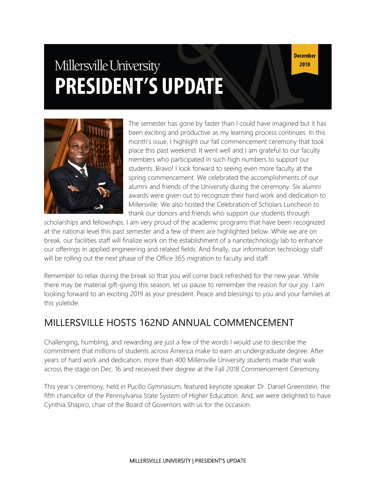# Millersville University **PRESIDENT'S UPDATE**

**December** 2018



The semester has gone by faster than I could have imagined but it has been exciting and productive as my learning process continues. In this month's issue, I highlight our fall commencement ceremony that took place this past weekend. It went well and I am grateful to our faculty members who participated in such high numbers to support our students. Bravo! I look forward to seeing even more faculty at the spring commencement. We celebrated the accomplishments of our alumni and friends of the University during the ceremony. Six alumni awards were given out to recognize their hard work and dedication to Millersville. We also hosted the Celebration of Scholars Luncheon to thank our donors and friends who support our students through

scholarships and fellowships. I am very proud of the academic programs that have been recognized at the national level this past semester and a few of them are highlighted below. While we are on break, our facilities staff will finalize work on the establishment of a nanotechnology lab to enhance our offerings in applied engineering and related fields. And finally, our information technology staff will be rolling out the next phase of the Office 365 migration to faculty and staff.

Remember to relax during the break so that you will come back refreshed for the new year. While there may be material gift-giving this season, let us pause to remember the reason for our joy. I am looking forward to an exciting 2019 as your president. Peace and blessings to you and your families at this yuletide.

# MILLERSVILLE HOSTS 162ND ANNUAL COMMENCEMENT

Challenging, humbling, and rewarding are just a few of the words I would use to describe the commitment that millions of students across America make to earn an undergraduate degree. After years of hard work and dedication, more than 400 Millersville University students made that walk across the stage on Dec. 16 and received their degree at the Fall 2018 Commencement Ceremony.

This year's ceremony, held in Pucillo Gymnasium, featured keynote speaker Dr. Daniel Greenstein, the fifth chancellor of the Pennsylvania State System of Higher Education. And, we were delighted to have Cynthia Shapiro, chair of the Board of Governors with us for the occasion.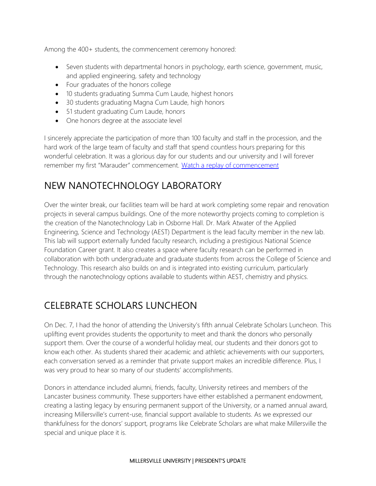Among the 400+ students, the commencement ceremony honored:

- Seven students with departmental honors in psychology, earth science, government, music, and applied engineering, safety and technology
- Four graduates of the honors college
- 10 students graduating Summa Cum Laude, highest honors
- 30 students graduating Magna Cum Laude, high honors
- 51 student graduating Cum Laude, honors
- One honors degree at the associate level

I sincerely appreciate the participation of more than 100 faculty and staff in the procession, and the hard work of the large team of faculty and staff that spend countless hours preparing for this wonderful celebration. It was a glorious day for our students and our university and I will forever remember my first "Marauder" commencement. [Watch a replay of commencement](https://www.millersville.edu/commencement/index.php)

# NEW NANOTECHNOLOGY LABORATORY

Over the winter break, our facilities team will be hard at work completing some repair and renovation projects in several campus buildings. One of the more noteworthy projects coming to completion is the creation of the Nanotechnology Lab in Osborne Hall. Dr. Mark Atwater of the Applied Engineering, Science and Technology (AEST) Department is the lead faculty member in the new lab. This lab will support externally funded faculty research, including a prestigious National Science Foundation Career grant. It also creates a space where faculty research can be performed in collaboration with both undergraduate and graduate students from across the College of Science and Technology. This research also builds on and is integrated into existing curriculum, particularly through the nanotechnology options available to students within AEST, chemistry and physics.

# CELEBRATE SCHOLARS LUNCHEON

On Dec. 7, I had the honor of attending the University's fifth annual Celebrate Scholars Luncheon. This uplifting event provides students the opportunity to meet and thank the donors who personally support them. Over the course of a wonderful holiday meal, our students and their donors got to know each other. As students shared their academic and athletic achievements with our supporters, each conversation served as a reminder that private support makes an incredible difference. Plus, I was very proud to hear so many of our students' accomplishments.

Donors in attendance included alumni, friends, faculty, University retirees and members of the Lancaster business community. These supporters have either established a permanent endowment, creating a lasting legacy by ensuring permanent support of the University, or a named annual award, increasing Millersville's current-use, financial support available to students. As we expressed our thankfulness for the donors' support, programs like Celebrate Scholars are what make Millersville the special and unique place it is.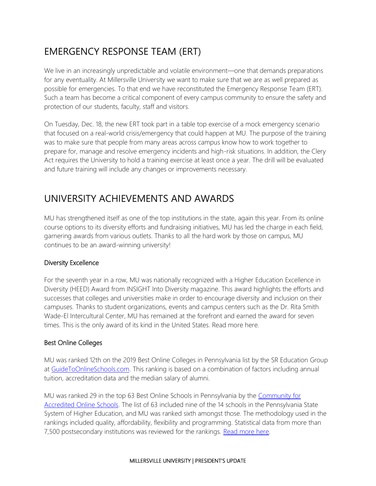# EMERGENCY RESPONSE TEAM (ERT)

We live in an increasingly unpredictable and volatile environment—one that demands preparations for any eventuality. At Millersville University we want to make sure that we are as well prepared as possible for emergencies. To that end we have reconstituted the Emergency Response Team (ERT). Such a team has become a critical component of every campus community to ensure the safety and protection of our students, faculty, staff and visitors.

On Tuesday, Dec. 18, the new ERT took part in a table top exercise of a mock emergency scenario that focused on a real-world crisis/emergency that could happen at MU. The purpose of the training was to make sure that people from many areas across campus know how to work together to prepare for, manage and resolve emergency incidents and high-risk situations. In addition, the Clery Act requires the University to hold a training exercise at least once a year. The drill will be evaluated and future training will include any changes or improvements necessary.

# UNIVERSITY ACHIEVEMENTS AND AWARDS

MU has strengthened itself as one of the top institutions in the state, again this year. From its online course options to its diversity efforts and fundraising initiatives, MU has led the charge in each field, garnering awards from various outlets. Thanks to all the hard work by those on campus, MU continues to be an award-winning university!

## Diversity Excellence

For the seventh year in a row, MU was nationally recognized with a Higher Education Excellence in Diversity (HEED) Award from INSIGHT Into Diversity magazine. This award highlights the efforts and successes that colleges and universities make in order to encourage diversity and inclusion on their campuses. Thanks to student organizations, events and campus centers such as the Dr. Rita Smith Wade-El Intercultural Center, MU has remained at the forefront and earned the award for seven times. This is the only award of its kind in the United States. Read more here.

## Best Online Colleges

MU was ranked 12th on the 2019 Best Online Colleges in Pennsylvania list by the SR Education Group at [GuideToOnlineSchools.com.](https://www.guidetoonlineschools.com/) This ranking is based on a combination of factors including annual tuition, accreditation data and the median salary of alumni.

MU was ranked 29 in the top 63 Best Online Schools in Pennsylvania by the [Community for](https://www.accreditedschoolsonline.org/)  [Accredited Online Schools.](https://www.accreditedschoolsonline.org/) The list of 63 included nine of the 14 schools in the Pennsylvania State System of Higher Education, and MU was ranked sixth amongst those. The methodology used in the rankings included quality, affordability, flexibility and programming. Statistical data from more than 7,500 postsecondary institutions was reviewed for the rankings. [Read more here.](https://blogs.millersville.edu/news/2018/10/30/ville-makes-best-online-programs-list/?platform=hootsuite)

#### MILLERSVILLE UNIVERSITY | PRESIDENT'S UPDATE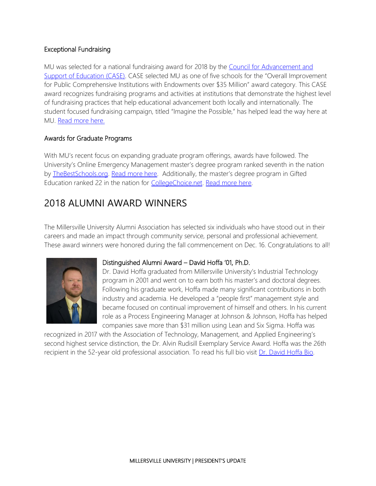## Exceptional Fundraising

MU was selected for a national fundraising award for 2018 by the Council for Advancement and [Support of Education \(CASE\)](https://www.case.org/). CASE selected MU as one of five schools for the "Overall Improvement for Public Comprehensive Institutions with Endowments over \$35 Million" award category. This CASE award recognizes fundraising programs and activities at institutions that demonstrate the highest level of fundraising practices that help educational advancement both locally and internationally. The student focused fundraising campaign, titled "Imagine the Possible," has helped lead the way here at MU. [Read more here.](https://blogs.millersville.edu/news/2018/09/27/national-fundraising-award-goes-to-millersville/)

## Awards for Graduate Programs

With MU's recent focus on expanding graduate program offerings, awards have followed. The University's Online Emergency Management master's degree program ranked seventh in the nation by [TheBestSchools.org.](https://thebestschools.org/) [Read more here](https://blogs.millersville.edu/news/2018/07/11/mus-online-emergency-management-masters-degree-ranked-one-of-best/). Additionally, the master's degree program in Gifted Education ranked 22 in the nation for [CollegeChoice.net.](https://www.collegechoice.net/) [Read more here.](https://blogs.millersville.edu/news/2018/09/20/masters-degree-in-gifted-education-ranks-high/)

# 2018 ALUMNI AWARD WINNERS

The Millersville University Alumni Association has selected six individuals who have stood out in their careers and made an impact through community service, personal and professional achievement. These award winners were honored during the fall commencement on Dec. 16. Congratulations to all!



## Distinguished Alumni Award – David Hoffa '01, Ph.D.

Dr. David Hoffa graduated from Millersville University's Industrial Technology program in 2001 and went on to earn both his master's and doctoral degrees. Following his graduate work, Hoffa made many significant contributions in both industry and academia. He developed a "people first" management style and became focused on continual improvement of himself and others. In his current role as a Process Engineering Manager at Johnson & Johnson, Hoffa has helped companies save more than \$31 million using Lean and Six Sigma. Hoffa was

recognized in 2017 with the Association of Technology, Management, and Applied Engineering's second highest service distinction, the Dr. Alvin Rudisill Exemplary Service Award. Hoffa was the 26th recipient in the 52-year old professional association. To read his full bio visit [Dr. David Hoffa Bio.](https://www.millersville.edu/alumni/awards/distinguished-alumni-award.php#Hoffa)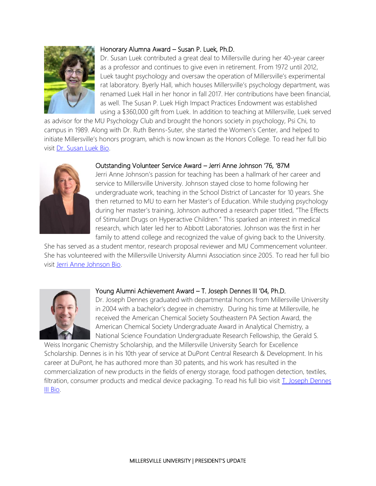

## Honorary Alumna Award – Susan P. Luek, Ph.D.

Dr. Susan Luek contributed a great deal to Millersville during her 40-year career as a professor and continues to give even in retirement. From 1972 until 2012, Luek taught psychology and oversaw the operation of Millersville's experimental rat laboratory. Byerly Hall, which houses Millersville's psychology department, was renamed Luek Hall in her honor in fall 2017. Her contributions have been financial, as well. The Susan P. Luek High Impact Practices Endowment was established using a \$360,000 gift from Luek. In addition to teaching at Millersville, Luek served

as advisor for the MU Psychology Club and brought the honors society in psychology, Psi Chi, to campus in 1989. Along with Dr. Ruth Benns-Suter, she started the Women's Center, and helped to initiate Millersville's honors program, which is now known as the Honors College. To read her full bio visit [Dr. Susan Luek Bio.](https://www.millersville.edu/alumni/awards/honorary-alumnusna-award.php#current-winner) 



#### Outstanding Volunteer Service Award – Jerri Anne Johnson '76, '87M

Jerri Anne Johnson's passion for teaching has been a hallmark of her career and service to Millersville University. Johnson stayed close to home following her undergraduate work, teaching in the School District of Lancaster for 10 years. She then returned to MU to earn her Master's of Education. While studying psychology during her master's training, Johnson authored a research paper titled, "The Effects of Stimulant Drugs on Hyperactive Children." This sparked an interest in medical research, which later led her to Abbott Laboratories. Johnson was the first in her family to attend college and recognized the value of giving back to the University.

She has served as a student mentor, research proposal reviewer and MU Commencement volunteer. She has volunteered with the Millersville University Alumni Association since 2005. To read her full bio visit [Jerri Anne Johnson Bio.](https://www.millersville.edu/alumni/awards/outstanding-volunteer-service-award.php#current-winner)



## Young Alumni Achievement Award – T. Joseph Dennes III '04, Ph.D.

Dr. Joseph Dennes graduated with departmental honors from Millersville University in 2004 with a bachelor's degree in chemistry. During his time at Millersville, he received the American Chemical Society Southeastern PA Section Award, the American Chemical Society Undergraduate Award in Analytical Chemistry, a National Science Foundation Undergraduate Research Fellowship, the Gerald S.

Weiss Inorganic Chemistry Scholarship, and the Millersville University Search for Excellence Scholarship. Dennes is in his 10th year of service at DuPont Central Research & Development. In his career at DuPont, he has authored more than 30 patents, and his work has resulted in the commercialization of new products in the fields of energy storage, food pathogen detection, textiles, filtration, consumer products and medical device packaging. To read his full bio visit *T. Joseph Dennes* [III Bio.](https://www.millersville.edu/alumni/awards/millersville-university-young-alumni-achievement-award.php#current)